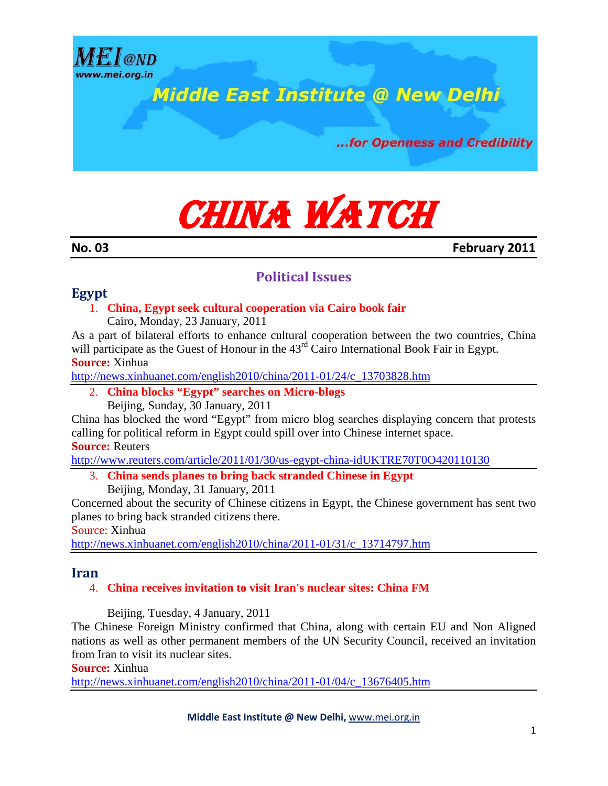

# CHINA WATCH

**No. 03 February 2011**

### **Political Issues**

### **Egypt**

### 1. **China, Egypt seek cultural cooperation via Cairo book fair**

Cairo, Monday, 23 January, 2011

As a part of bilateral efforts to enhance cultural cooperation between the two countries, China will participate as the Guest of Honour in the  $43<sup>rd</sup>$  Cairo International Book Fair in Egypt. **Source:** Xinhua

[http://news.xinhuanet.com/english2010/china/2011-01/24/c\\_13703828.htm](http://news.xinhuanet.com/english2010/china/2011-01/24/c_13703828.htm)

2. **China blocks "Egypt" searches on Micro-blogs** Beijing, Sunday, 30 January, 2011

China has blocked the word "Egypt" from micro blog searches displaying concern that protests calling for political reform in Egypt could spill over into Chinese internet space.

**Source:** Reuters

<http://www.reuters.com/article/2011/01/30/us-egypt-china-idUKTRE70T0O420110130>

- 3. **China sends planes to bring back stranded Chinese in Egypt**
	- Beijing, Monday, 31 January, 2011

Concerned about the security of Chinese citizens in Egypt, the Chinese government has sent two planes to bring back stranded citizens there.

Source: Xinhua

[http://news.xinhuanet.com/english2010/china/2011-01/31/c\\_13714797.htm](http://news.xinhuanet.com/english2010/china/2011-01/31/c_13714797.htm)

### **Iran**

### 4. **China receives invitation to visit Iran's nuclear sites: China FM**

Beijing, Tuesday, 4 January, 2011

The Chinese Foreign Ministry confirmed that China, along with certain EU and Non Aligned nations as well as other permanent members of the UN Security Council, received an invitation from Iran to visit its nuclear sites.

**Source:** Xinhua

[http://news.xinhuanet.com/english2010/china/2011-01/04/c\\_13676405.htm](http://news.xinhuanet.com/english2010/china/2011-01/04/c_13676405.htm)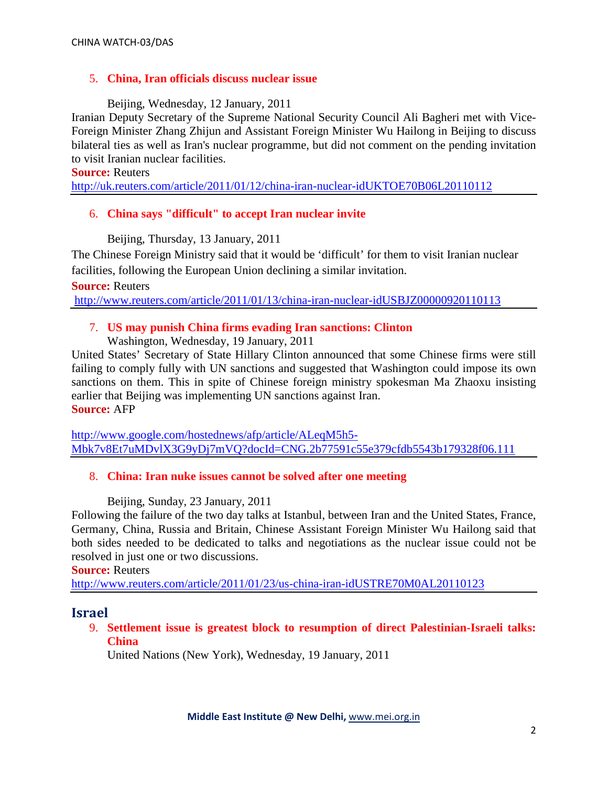### 5. **China, Iran officials discuss nuclear issue**

### Beijing, Wednesday, 12 January, 2011

Iranian Deputy Secretary of the Supreme National Security Council Ali Bagheri met with Vice-Foreign Minister Zhang Zhijun and Assistant Foreign Minister Wu Hailong in Beijing to discuss bilateral ties as well as Iran's nuclear programme, but did not comment on the pending invitation to visit Iranian nuclear facilities.

### **Source:** Reuters

<http://uk.reuters.com/article/2011/01/12/china-iran-nuclear-idUKTOE70B06L20110112>

### 6. **China says "difficult" to accept Iran nuclear invite**

Beijing, Thursday, 13 January, 2011

The Chinese Foreign Ministry said that it would be 'difficult' for them to visit Iranian nuclear facilities, following the European Union declining a similar invitation.

**Source:** Reuters

<http://www.reuters.com/article/2011/01/13/china-iran-nuclear-idUSBJZ00000920110113>

### 7. **US may punish China firms evading Iran sanctions: Clinton**

Washington, Wednesday, 19 January, 2011

United States' Secretary of State Hillary Clinton announced that some Chinese firms were still failing to comply fully with UN sanctions and suggested that Washington could impose its own sanctions on them. This in spite of Chinese foreign ministry spokesman Ma Zhaoxu insisting earlier that Beijing was implementing UN sanctions against Iran. **Source:** AFP

[http://www.google.com/hostednews/afp/article/ALeqM5h5-](http://www.google.com/hostednews/afp/article/ALeqM5h5-Mbk7v8Et7uMDvlX3G9yDj7mVQ?docId=CNG.2b77591c55e379cfdb5543b179328f06.111) [Mbk7v8Et7uMDvlX3G9yDj7mVQ?docId=CNG.2b77591c55e379cfdb5543b179328f06.111](http://www.google.com/hostednews/afp/article/ALeqM5h5-Mbk7v8Et7uMDvlX3G9yDj7mVQ?docId=CNG.2b77591c55e379cfdb5543b179328f06.111)

### 8. **China: Iran nuke issues cannot be solved after one meeting**

Beijing, Sunday, 23 January, 2011

Following the failure of the two day talks at Istanbul, between Iran and the United States, France, Germany, China, Russia and Britain, Chinese Assistant Foreign Minister Wu Hailong said that both sides needed to be dedicated to talks and negotiations as the nuclear issue could not be resolved in just one or two discussions.

**Source:** Reuters

<http://www.reuters.com/article/2011/01/23/us-china-iran-idUSTRE70M0AL20110123>

### **Israel**

9. **Settlement issue is greatest block to resumption of direct Palestinian-Israeli talks: China**

United Nations (New York), Wednesday, 19 January, 2011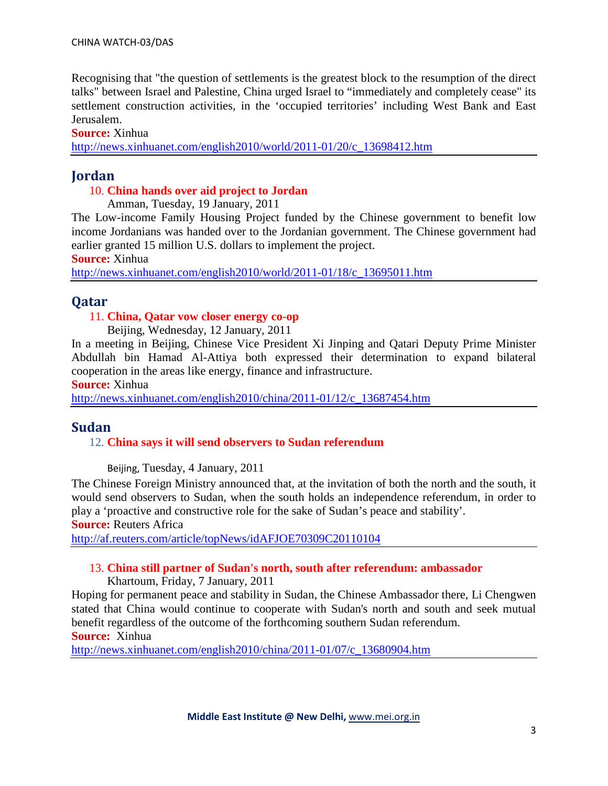Recognising that "the question of settlements is the greatest block to the resumption of the direct talks" between Israel and Palestine, China urged Israel to "immediately and completely cease" its settlement construction activities, in the 'occupied territories' including West Bank and East Jerusalem.

### **Source:** Xinhua

[http://news.xinhuanet.com/english2010/world/2011-01/20/c\\_13698412.htm](http://news.xinhuanet.com/english2010/world/2011-01/20/c_13698412.htm)

### **Jordan**

### 10. **China hands over aid project to Jordan**

Amman, Tuesday, 19 January, 2011

The Low-income Family Housing Project funded by the Chinese government to benefit low income Jordanians was handed over to the Jordanian government. The Chinese government had earlier granted 15 million U.S. dollars to implement the project.

**Source:** Xinhua

[http://news.xinhuanet.com/english2010/world/2011-01/18/c\\_13695011.htm](http://news.xinhuanet.com/english2010/world/2011-01/18/c_13695011.htm)

### **Qatar**

### 11. **China, Qatar vow closer energy co-op**

Beijing, Wednesday, 12 January, 2011

In a meeting in Beijing, Chinese Vice President Xi Jinping and Qatari Deputy Prime Minister Abdullah bin Hamad Al-Attiya both expressed their determination to expand bilateral cooperation in the areas like energy, finance and infrastructure.

**Source:** Xinhua

[http://news.xinhuanet.com/english2010/china/2011-01/12/c\\_13687454.htm](http://news.xinhuanet.com/english2010/china/2011-01/12/c_13687454.htm)

### **Sudan**

### 12. **China says it will send observers to Sudan referendum**

Beijing, Tuesday, 4 January, 2011

The Chinese Foreign Ministry announced that, at the invitation of both the north and the south, it would send observers to Sudan, when the south holds an independence referendum, in order to play a 'proactive and constructive role for the sake of Sudan's peace and stability'.

**Source:** Reuters Africa

<http://af.reuters.com/article/topNews/idAFJOE70309C20110104>

### 13. **China still partner of Sudan's north, south after referendum: ambassador**

Khartoum, Friday, 7 January, 2011

Hoping for permanent peace and stability in Sudan, the Chinese Ambassador there, Li Chengwen stated that China would continue to cooperate with Sudan's north and south and seek mutual benefit regardless of the outcome of the forthcoming southern Sudan referendum. **Source:** Xinhua

[http://news.xinhuanet.com/english2010/china/2011-01/07/c\\_13680904.htm](http://news.xinhuanet.com/english2010/china/2011-01/07/c_13680904.htm)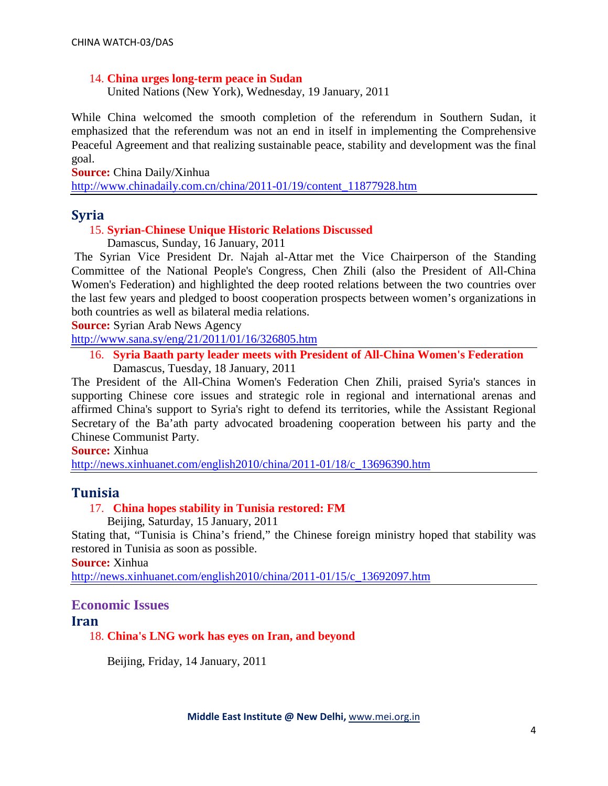### 14. **China urges long-term peace in Sudan**

United Nations (New York), Wednesday, 19 January, 2011

While China welcomed the smooth completion of the referendum in Southern Sudan, it emphasized that the referendum was not an end in itself in implementing the Comprehensive Peaceful Agreement and that realizing sustainable peace, stability and development was the final goal.

**Source:** China Daily/Xinhua

[http://www.chinadaily.com.cn/china/2011-01/19/content\\_11877928.htm](http://www.chinadaily.com.cn/china/2011-01/19/content_11877928.htm)

### **Syria**

### 15. **Syrian-Chinese Unique Historic Relations Discussed**

Damascus, Sunday, 16 January, 2011

The Syrian Vice President Dr. Najah al-Attar met the Vice Chairperson of the Standing Committee of the National People's Congress, Chen Zhili (also the President of All-China Women's Federation) and highlighted the deep rooted relations between the two countries over the last few years and pledged to boost cooperation prospects between women's organizations in both countries as well as bilateral media relations.

**Source:** Syrian Arab News Agency

<http://www.sana.sy/eng/21/2011/01/16/326805.htm>

16. **Syria Baath party leader meets with President of All-China Women's Federation** Damascus, Tuesday, 18 January, 2011

The President of the All-China Women's Federation Chen Zhili, praised Syria's stances in supporting Chinese core issues and strategic role in regional and international arenas and affirmed China's support to Syria's right to defend its territories, while the Assistant Regional Secretary of the Ba'ath party advocated broadening cooperation between his party and the Chinese Communist Party.

**Source:** Xinhua

[http://news.xinhuanet.com/english2010/china/2011-01/18/c\\_13696390.htm](http://news.xinhuanet.com/english2010/china/2011-01/18/c_13696390.htm)

### **Tunisia**

### 17. **China hopes stability in Tunisia restored: FM**

Beijing, Saturday, 15 January, 2011

Stating that, "Tunisia is China's friend," the Chinese foreign ministry hoped that stability was restored in Tunisia as soon as possible.

**Source:** Xinhua

[http://news.xinhuanet.com/english2010/china/2011-01/15/c\\_13692097.htm](http://news.xinhuanet.com/english2010/china/2011-01/15/c_13692097.htm)

## **Economic Issues**

### **Iran**

18. **China's LNG work has eyes on Iran, and beyond**

Beijing, Friday, 14 January, 2011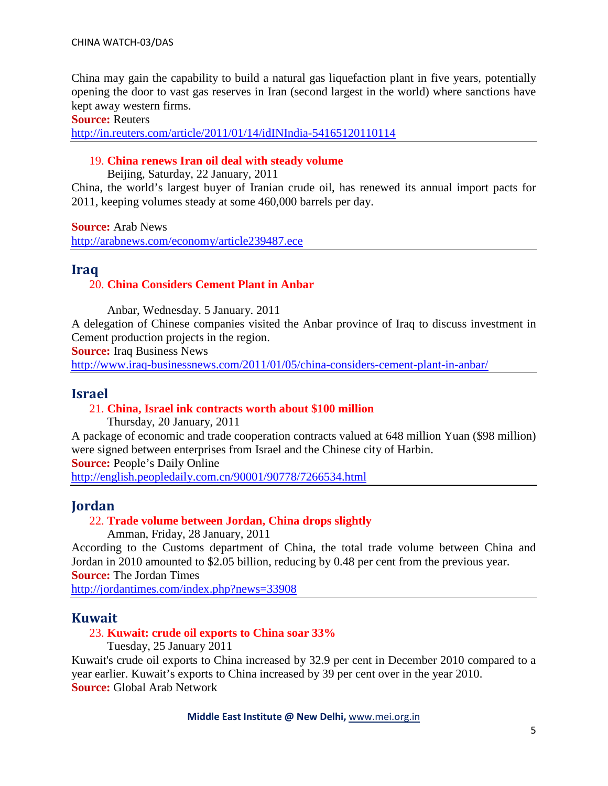China may gain the capability to build a natural gas liquefaction plant in five years, potentially opening the door to vast gas reserves in Iran (second largest in the world) where sanctions have kept away western firms.

#### **Source:** Reuters

<http://in.reuters.com/article/2011/01/14/idINIndia-54165120110114>

### 19. **China renews Iran oil deal with steady volume**

Beijing, Saturday, 22 January, 2011

China, the world's largest buyer of Iranian crude oil, has renewed its annual import pacts for 2011, keeping volumes steady at some 460,000 barrels per day.

**Source:** Arab News

<http://arabnews.com/economy/article239487.ece>

### **Iraq**

### 20. **China Considers Cement Plant in Anbar**

Anbar, Wednesday. 5 January. 2011

A delegation of Chinese companies visited the Anbar province of Iraq to discuss investment in Cement production projects in the region.

**Source:** Iraq Business News

<http://www.iraq-businessnews.com/2011/01/05/china-considers-cement-plant-in-anbar/>

### **Israel**

#### 21. **China, Israel ink contracts worth about \$100 million**

Thursday, 20 January, 2011

A package of economic and trade cooperation contracts valued at 648 million Yuan (\$98 million) were signed between enterprises from Israel and the Chinese city of Harbin.

**Source:** People's Daily Online

<http://english.peopledaily.com.cn/90001/90778/7266534.html>

### **Jordan**

### 22. **Trade volume between Jordan, China drops slightly**

Amman, Friday, 28 January, 2011

According to the Customs department of China, the total trade volume between China and Jordan in 2010 amounted to \$2.05 billion, reducing by 0.48 per cent from the previous year.

**Source:** The Jordan Times

<http://jordantimes.com/index.php?news=33908>

### **Kuwait**

### 23. **Kuwait: crude oil exports to China soar 33%**

Tuesday, 25 January 2011

Kuwait's crude oil exports to China increased by 32.9 per cent in December 2010 compared to a year earlier. Kuwait's exports to China increased by 39 per cent over in the year 2010. **Source:** Global Arab Network

**Middle East Institute @ New Delhi,** [www.mei.org.in](http://www.mei.org.in/)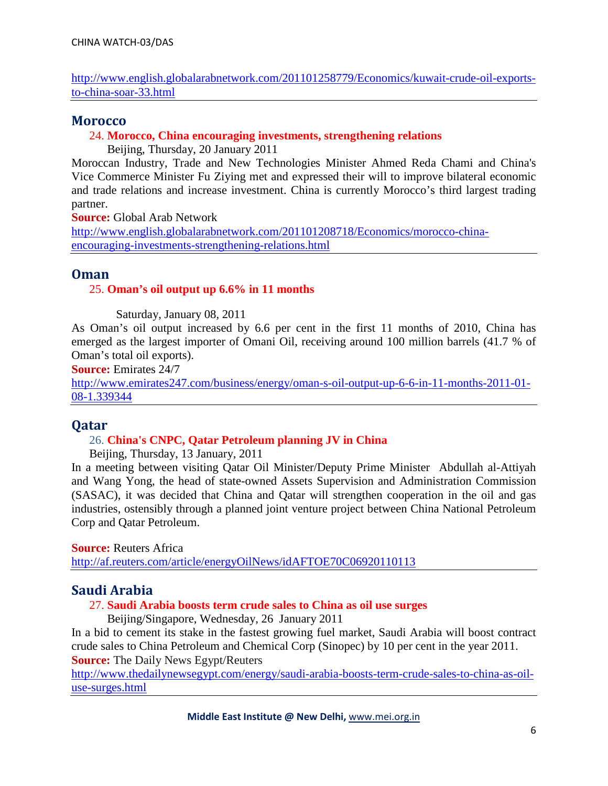[http://www.english.globalarabnetwork.com/201101258779/Economics/kuwait-crude-oil-exports](http://www.english.globalarabnetwork.com/201101258779/Economics/kuwait-crude-oil-exports-to-china-soar-33.html)[to-china-soar-33.html](http://www.english.globalarabnetwork.com/201101258779/Economics/kuwait-crude-oil-exports-to-china-soar-33.html)

### **Morocco**

### 24. **Morocco, China encouraging investments, strengthening relations**

Beijing, Thursday, 20 January 2011

Moroccan Industry, Trade and New Technologies Minister Ahmed Reda Chami and China's Vice Commerce Minister Fu Ziying met and expressed their will to improve bilateral economic and trade relations and increase investment. China is currently Morocco's third largest trading partner.

**Source:** Global Arab Network

[http://www.english.globalarabnetwork.com/201101208718/Economics/morocco-china](http://www.english.globalarabnetwork.com/201101208718/Economics/morocco-china-encouraging-investments-strengthening-relations.html)[encouraging-investments-strengthening-relations.html](http://www.english.globalarabnetwork.com/201101208718/Economics/morocco-china-encouraging-investments-strengthening-relations.html)

### **Oman**

### 25. **Oman's oil output up 6.6% in 11 months**

Saturday, January 08, 2011

As Oman's oil output increased by 6.6 per cent in the first 11 months of 2010, China has emerged as the largest importer of Omani Oil, receiving around 100 million barrels (41.7 % of Oman's total oil exports).

**Source:** Emirates 24/7

[http://www.emirates247.com/business/energy/oman-s-oil-output-up-6-6-in-11-months-2011-01-](http://www.emirates247.com/business/energy/oman-s-oil-output-up-6-6-in-11-months-2011-01-08-1.339344) [08-1.339344](http://www.emirates247.com/business/energy/oman-s-oil-output-up-6-6-in-11-months-2011-01-08-1.339344)

### **Qatar**

### 26. **China's CNPC, Qatar Petroleum planning JV in China**

Beijing, Thursday, 13 January, 2011

In a meeting between visiting Qatar Oil Minister/Deputy Prime Minister Abdullah al-Attiyah and Wang Yong, the head of state-owned Assets Supervision and Administration Commission (SASAC), it was decided that China and Qatar will strengthen cooperation in the oil and gas industries, ostensibly through a planned joint venture project between China National Petroleum Corp and Qatar Petroleum.

**Source:** Reuters Africa

<http://af.reuters.com/article/energyOilNews/idAFTOE70C06920110113>

### **Saudi Arabia**

### 27. **Saudi Arabia boosts term crude sales to China as oil use surges**

Beijing/Singapore, Wednesday, 26 January 2011

In a bid to cement its stake in the fastest growing fuel market, Saudi Arabia will boost contract crude sales to China Petroleum and Chemical Corp (Sinopec) by 10 per cent in the year 2011. **Source:** The Daily News Egypt/Reuters

[http://www.thedailynewsegypt.com/energy/saudi-arabia-boosts-term-crude-sales-to-china-as-oil](http://www.thedailynewsegypt.com/energy/saudi-arabia-boosts-term-crude-sales-to-china-as-oil-use-surges.html)[use-surges.html](http://www.thedailynewsegypt.com/energy/saudi-arabia-boosts-term-crude-sales-to-china-as-oil-use-surges.html)